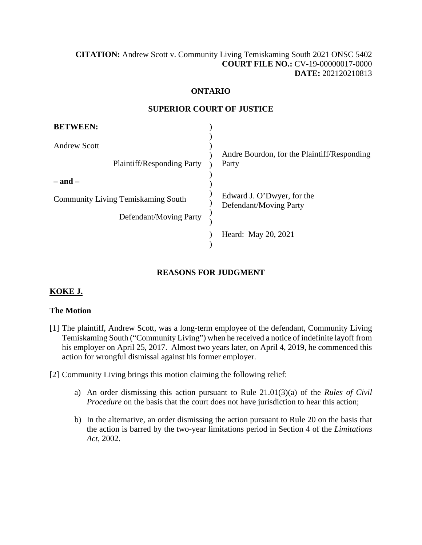# **[CITATION:](http://intra.judicialsecurity.jus.gov.on.ca/NeutralCitation/)** Andrew Scott v. Community Living Temiskaming South 2021 ONSC 5402 **COURT FILE NO.:** CV-19-00000017-0000 **DATE:** 202120210813

### **ONTARIO**

#### **SUPERIOR COURT OF JUSTICE**

| <b>BETWEEN:</b>                                          |                                                      |
|----------------------------------------------------------|------------------------------------------------------|
| <b>Andrew Scott</b><br><b>Plaintiff/Responding Party</b> | Andre Bourdon, for the Plaintiff/Responding<br>Party |
| – and –                                                  |                                                      |
| <b>Community Living Temiskaming South</b>                | Edward J. O'Dwyer, for the<br>Defendant/Moving Party |
| Defendant/Moving Party                                   |                                                      |
|                                                          | Heard: May 20, 2021                                  |

# **REASONS FOR JUDGMENT**

### **KOKE J.**

### **The Motion**

- [1] The plaintiff, Andrew Scott, was a long-term employee of the defendant, Community Living Temiskaming South ("Community Living") when he received a notice of indefinite layoff from his employer on April 25, 2017. Almost two years later, on April 4, 2019, he commenced this action for wrongful dismissal against his former employer.
- [2] Community Living brings this motion claiming the following relief:
	- a) An order dismissing this action pursuant to Rule 21.01(3)(a) of the *Rules of Civil Procedure* on the basis that the court does not have jurisdiction to hear this action;
	- b) In the alternative, an order dismissing the action pursuant to Rule 20 on the basis that the action is barred by the two-year limitations period in Section 4 of the *Limitations Act,* 2002.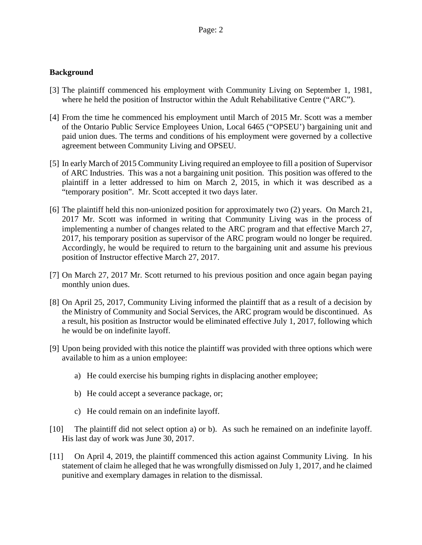### **Background**

- [3] The plaintiff commenced his employment with Community Living on September 1, 1981, where he held the position of Instructor within the Adult Rehabilitative Centre ("ARC").
- [4] From the time he commenced his employment until March of 2015 Mr. Scott was a member of the Ontario Public Service Employees Union, Local 6465 ("OPSEU') bargaining unit and paid union dues. The terms and conditions of his employment were governed by a collective agreement between Community Living and OPSEU.
- [5] In early March of 2015 Community Living required an employee to fill a position of Supervisor of ARC Industries. This was a not a bargaining unit position. This position was offered to the plaintiff in a letter addressed to him on March 2, 2015, in which it was described as a "temporary position". Mr. Scott accepted it two days later.
- [6] The plaintiff held this non-unionized position for approximately two (2) years. On March 21, 2017 Mr. Scott was informed in writing that Community Living was in the process of implementing a number of changes related to the ARC program and that effective March 27, 2017, his temporary position as supervisor of the ARC program would no longer be required. Accordingly, he would be required to return to the bargaining unit and assume his previous position of Instructor effective March 27, 2017.
- [7] On March 27, 2017 Mr. Scott returned to his previous position and once again began paying monthly union dues.
- [8] On April 25, 2017, Community Living informed the plaintiff that as a result of a decision by the Ministry of Community and Social Services, the ARC program would be discontinued. As a result, his position as Instructor would be eliminated effective July 1, 2017, following which he would be on indefinite layoff.
- [9] Upon being provided with this notice the plaintiff was provided with three options which were available to him as a union employee:
	- a) He could exercise his bumping rights in displacing another employee;
	- b) He could accept a severance package, or;
	- c) He could remain on an indefinite layoff.
- [10] The plaintiff did not select option a) or b). As such he remained on an indefinite layoff. His last day of work was June 30, 2017.
- [11] On April 4, 2019, the plaintiff commenced this action against Community Living. In his statement of claim he alleged that he was wrongfully dismissed on July 1, 2017, and he claimed punitive and exemplary damages in relation to the dismissal.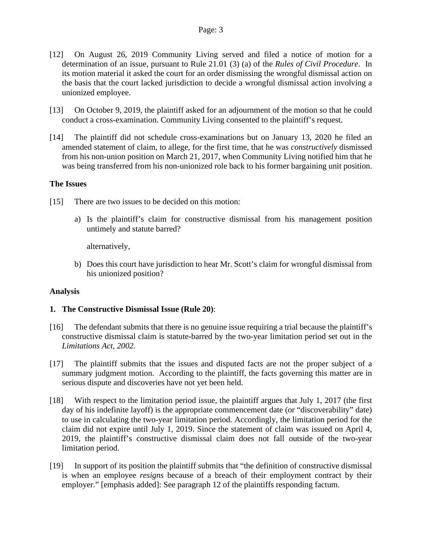- [12] On August 26, 2019 Community Living served and filed a notice of motion for a determination of an issue, pursuant to Rule 21.01 (3) (a) of the *Rules of Civil Procedure*. In its motion material it asked the court for an order dismissing the wrongful dismissal action on the basis that the court lacked jurisdiction to decide a wrongful dismissal action involving a unionized employee.
- [13] On October 9, 2019, the plaintiff asked for an adjournment of the motion so that he could conduct a cross-examination. Community Living consented to the plaintiff's request.
- [14] The plaintiff did not schedule cross-examinations but on January 13, 2020 he filed an amended statement of claim, to allege, for the first time, that he was *constructively* dismissed from his non-union position on March 21, 2017, when Community Living notified him that he was being transferred from his non-unionized role back to his former bargaining unit position.

#### **The Issues**

- [15] There are two issues to be decided on this motion:
	- a) Is the plaintiff's claim for constructive dismissal from his management position untimely and statute barred?

alternatively,

b) Does this court have jurisdiction to hear Mr. Scott's claim for wrongful dismissal from his unionized position?

### **Analysis**

### **1. The Constructive Dismissal Issue (Rule 20)**:

- [16] The defendant submits that there is no genuine issue requiring a trial because the plaintiff's constructive dismissal claim is statute-barred by the two-year limitation period set out in the *Limitations Act, 2002.*
- [17] The plaintiff submits that the issues and disputed facts are not the proper subject of a summary judgment motion. According to the plaintiff, the facts governing this matter are in serious dispute and discoveries have not yet been held.
- [18] With respect to the limitation period issue, the plaintiff argues that July 1, 2017 (the first day of his indefinite layoff) is the appropriate commencement date (or "discoverability" date) to use in calculating the two-year limitation period. Accordingly, the limitation period for the claim did not expire until July 1, 2019. Since the statement of claim was issued on April 4, 2019, the plaintiff's constructive dismissal claim does not fall outside of the two-year limitation period.
- [19] In support of its position the plaintiff submits that "the definition of constructive dismissal is when an employee *resigns* because of a breach of their employment contract by their employer." [emphasis added]: See paragraph 12 of the plaintiffs responding factum.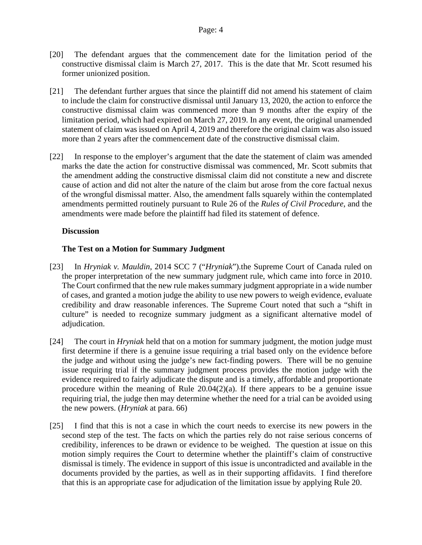- [20] The defendant argues that the commencement date for the limitation period of the constructive dismissal claim is March 27, 2017. This is the date that Mr. Scott resumed his former unionized position.
- [21] The defendant further argues that since the plaintiff did not amend his statement of claim to include the claim for constructive dismissal until January 13, 2020, the action to enforce the constructive dismissal claim was commenced more than 9 months after the expiry of the limitation period, which had expired on March 27, 2019. In any event, the original unamended statement of claim was issued on April 4, 2019 and therefore the original claim was also issued more than 2 years after the commencement date of the constructive dismissal claim.
- [22] In response to the employer's argument that the date the statement of claim was amended marks the date the action for constructive dismissal was commenced, Mr. Scott submits that the amendment adding the constructive dismissal claim did not constitute a new and discrete cause of action and did not alter the nature of the claim but arose from the core factual nexus of the wrongful dismissal matter. Also, the amendment falls squarely within the contemplated amendments permitted routinely pursuant to Rule 26 of the *Rules of Civil Procedure*, and the amendments were made before the plaintiff had filed its statement of defence.

# **Discussion**

# **The Test on a Motion for Summary Judgment**

- [23] In *[Hryniak v. Mauldin](https://canlii.ca/t/g2s18)*, 2014 SCC 7 ("*Hryniak*").the Supreme Court of Canada ruled on the proper interpretation of the new summary judgment rule, which came into force in 2010. The Court confirmed that the new rule makes summary judgment appropriate in a wide number of cases, and granted a motion judge the ability to use new powers to weigh evidence, evaluate credibility and draw reasonable inferences. The Supreme Court noted that such a "shift in culture" is needed to recognize summary judgment as a significant alternative model of adjudication.
- [24] The court in *Hryniak* held that on a motion for summary judgment, the motion judge must first determine if there is a genuine issue requiring a trial based only on the evidence before the judge and without using the judge's new fact-finding powers. There will be no genuine issue requiring trial if the summary judgment process provides the motion judge with the evidence required to fairly adjudicate the dispute and is a timely, affordable and proportionate procedure within the meaning of Rule  $20.04(2)(a)$ . If there appears to be a genuine issue requiring trial, the judge then may determine whether the need for a trial can be avoided using the new powers. (*Hryniak* at para. 66)
- [25] I find that this is not a case in which the court needs to exercise its new powers in the second step of the test. The facts on which the parties rely do not raise serious concerns of credibility, inferences to be drawn or evidence to be weighed. The question at issue on this motion simply requires the Court to determine whether the plaintiff's claim of constructive dismissal is timely. The evidence in support of this issue is uncontradicted and available in the documents provided by the parties, as well as in their supporting affidavits. I find therefore that this is an appropriate case for adjudication of the limitation issue by applying Rule 20.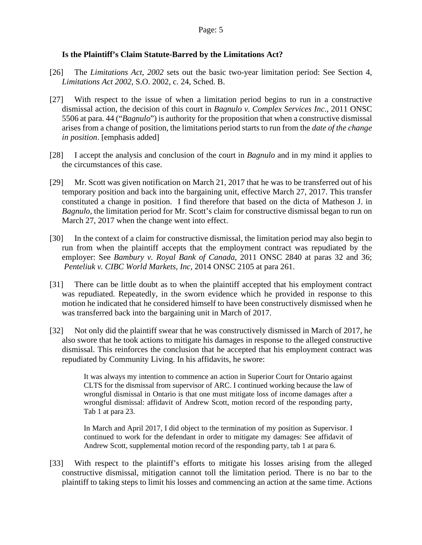# **Is the Plaintiff's Claim Statute-Barred by the Limitations Act?**

- [26] The *Limitations Act, 2002* sets out the basic two-year limitation period: See Section 4, *Limitations Act 2002,* S.O. 2002, c. 24, Sched. B.
- [27] With respect to the issue of when a limitation period begins to run in a constructive dismissal action, the decision of this court in *Bagnulo v. Complex Services Inc.,* 2011 ONSC 5506 at para. 44 ("*Bagnulo*") is authority for the proposition that when a constructive dismissal arises from a change of position, the limitations period starts to run from the *date of the change in position*. [emphasis added]
- [28] I accept the analysis and conclusion of the court in *Bagnulo* and in my mind it applies to the circumstances of this case.
- [29] Mr. Scott was given notification on March 21, 2017 that he was to be transferred out of his temporary position and back into the bargaining unit, effective March 27, 2017. This transfer constituted a change in position. I find therefore that based on the dicta of Matheson J. in *Bagnulo*, the limitation period for Mr. Scott's claim for constructive dismissal began to run on March 27, 2017 when the change went into effect.
- [30] In the context of a claim for constructive dismissal, the limitation period may also begin to run from when the plaintiff accepts that the employment contract was repudiated by the employer: See *[Bambury v. Royal Bank of Canada,](https://canlii.ca/t/fld4d)* 2011 ONSC 2840 at paras 32 and 36; *[Penteliuk v. CIBC World Markets, Inc,](https://canlii.ca/t/g6g9q)* 2014 ONSC 2105 at para 261.
- [31] There can be little doubt as to when the plaintiff accepted that his employment contract was repudiated. Repeatedly, in the sworn evidence which he provided in response to this motion he indicated that he considered himself to have been constructively dismissed when he was transferred back into the bargaining unit in March of 2017.
- [32] Not only did the plaintiff swear that he was constructively dismissed in March of 2017, he also swore that he took actions to mitigate his damages in response to the alleged constructive dismissal. This reinforces the conclusion that he accepted that his employment contract was repudiated by Community Living. In his affidavits, he swore:

It was always my intention to commence an action in Superior Court for Ontario against CLTS for the dismissal from supervisor of ARC. I continued working because the law of wrongful dismissal in Ontario is that one must mitigate loss of income damages after a wrongful dismissal: affidavit of Andrew Scott, motion record of the responding party, Tab 1 at para 23.

In March and April 2017, I did object to the termination of my position as Supervisor. I continued to work for the defendant in order to mitigate my damages: See affidavit of Andrew Scott, supplemental motion record of the responding party, tab 1 at para 6.

[33] With respect to the plaintiff's efforts to mitigate his losses arising from the alleged constructive dismissal, mitigation cannot toll the limitation period. There is no bar to the plaintiff to taking steps to limit his losses and commencing an action at the same time. Actions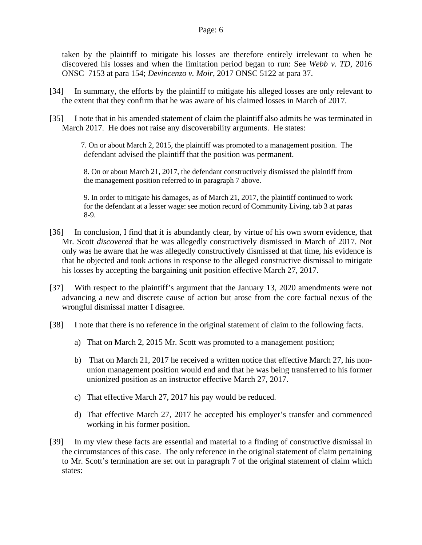taken by the plaintiff to mitigate his losses are therefore entirely irrelevant to when he discovered his losses and when the limitation period began to run: See *[Webb v. TD](https://canlii.ca/t/gvpn3)*, 2016 ONSC 7153 at para 154; *[Devincenzo v. Moir](https://canlii.ca/t/h5tm1)*, 2017 ONSC 5122 at para 37.

- [34] In summary, the efforts by the plaintiff to mitigate his alleged losses are only relevant to the extent that they confirm that he was aware of his claimed losses in March of 2017.
- [35] I note that in his amended statement of claim the plaintiff also admits he was terminated in March 2017. He does not raise any discoverability arguments. He states:

 7. On or about March 2, 2015, the plaintiff was promoted to a management position. The defendant advised the plaintiff that the position was permanent.

8. On or about March 21, 2017, the defendant constructively dismissed the plaintiff from the management position referred to in paragraph 7 above.

9. In order to mitigate his damages, as of March 21, 2017, the plaintiff continued to work for the defendant at a lesser wage: see motion record of Community Living, tab 3 at paras 8-9.

- [36] In conclusion, I find that it is abundantly clear, by virtue of his own sworn evidence, that Mr. Scott *discovered* that he was allegedly constructively dismissed in March of 2017. Not only was he aware that he was allegedly constructively dismissed at that time, his evidence is that he objected and took actions in response to the alleged constructive dismissal to mitigate his losses by accepting the bargaining unit position effective March 27, 2017.
- [37] With respect to the plaintiff's argument that the January 13, 2020 amendments were not advancing a new and discrete cause of action but arose from the core factual nexus of the wrongful dismissal matter I disagree.
- [38] I note that there is no reference in the original statement of claim to the following facts.
	- a) That on March 2, 2015 Mr. Scott was promoted to a management position;
	- b) That on March 21, 2017 he received a written notice that effective March 27, his nonunion management position would end and that he was being transferred to his former unionized position as an instructor effective March 27, 2017.
	- c) That effective March 27, 2017 his pay would be reduced.
	- d) That effective March 27, 2017 he accepted his employer's transfer and commenced working in his former position.
- [39] In my view these facts are essential and material to a finding of constructive dismissal in the circumstances of this case. The only reference in the original statement of claim pertaining to Mr. Scott's termination are set out in paragraph 7 of the original statement of claim which states: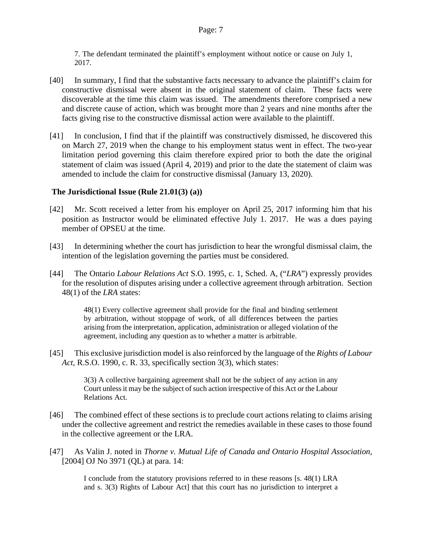7. The defendant terminated the plaintiff's employment without notice or cause on July 1, 2017.

- [40] In summary, I find that the substantive facts necessary to advance the plaintiff's claim for constructive dismissal were absent in the original statement of claim. These facts were discoverable at the time this claim was issued. The amendments therefore comprised a new and discrete cause of action, which was brought more than 2 years and nine months after the facts giving rise to the constructive dismissal action were available to the plaintiff.
- [41] In conclusion, I find that if the plaintiff was constructively dismissed, he discovered this on March 27, 2019 when the change to his employment status went in effect. The two-year limitation period governing this claim therefore expired prior to both the date the original statement of claim was issued (April 4, 2019) and prior to the date the statement of claim was amended to include the claim for constructive dismissal (January 13, 2020).

### **The Jurisdictional Issue (Rule 21.01(3) (a))**

- [42] Mr. Scott received a letter from his employer on April 25, 2017 informing him that his position as Instructor would be eliminated effective July 1. 2017. He was a dues paying member of OPSEU at the time.
- [43] In determining whether the court has jurisdiction to hear the wrongful dismissal claim, the intention of the legislation governing the parties must be considered.
- [44] The Ontario *Labour Relations Act* S.O. 1995, c. 1, Sched. A, ("*LRA*") expressly provides for the resolution of disputes arising under a collective agreement through arbitration. Section 48(1) of the *LRA* states:

48(1) Every collective agreement shall provide for the final and binding settlement by arbitration, without stoppage of work, of all differences between the parties arising from the interpretation, application, administration or alleged violation of the agreement, including any question as to whether a matter is arbitrable.

[45] This exclusive jurisdiction model is also reinforced by the language of the *Rights of Labour Act,* R.S.O. 1990, c. R. 33, specifically section 3(3), which states:

> 3(3) A collective bargaining agreement shall not be the subject of any action in any Court unless it may be the subject of such action irrespective of this Act or the Labour Relations Act.

- [46] The combined effect of these sections is to preclude court actions relating to claims arising under the collective agreement and restrict the remedies available in these cases to those found in the collective agreement or the LRA.
- [47] As Valin J. noted in *[Thorne v. Mutual Life of Canada and Ontario Hospital Association,](http://canlii.ca/t/1hxd3)* [2004] OJ No 3971 (QL) at para. 14:

I conclude from the statutory provisions referred to in these reasons [s. 48(1) LRA and s. 3(3) Rights of Labour Act] that this court has no jurisdiction to interpret a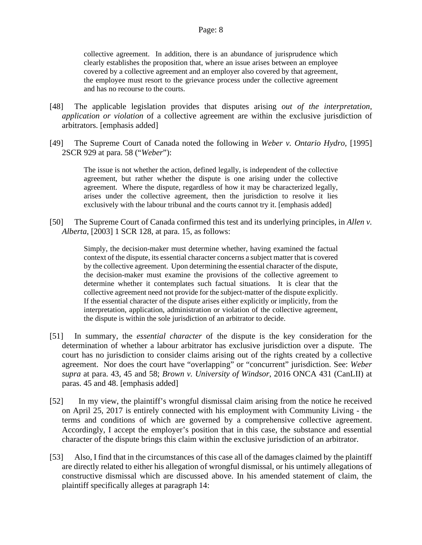collective agreement. In addition, there is an abundance of jurisprudence which clearly establishes the proposition that, where an issue arises between an employee covered by a collective agreement and an employer also covered by that agreement, the employee must resort to the grievance process under the collective agreement and has no recourse to the courts.

- [48] The applicable legislation provides that disputes arising *out of the interpretation, application or violation* of a collective agreement are within the exclusive jurisdiction of arbitrators. [emphasis added]
- [49] The Supreme Court of Canada noted the following in *[Weber v. Ontario Hydro,](http://canlii.ca/t/1frj9)* [1995] 2SCR 929 at para. 58 ("*Weber*"):

The issue is not whether the action, defined legally, is independent of the collective agreement, but rather whether the dispute is one arising under the collective agreement. Where the dispute, regardless of how it may be characterized legally, arises under the collective agreement, then the jurisdiction to resolve it lies exclusively with the labour tribunal and the courts cannot try it. [emphasis added]

[50] The Supreme Court of Canada confirmed this test and its underlying principles, in *[Allen v.](http://canlii.ca/t/1g2j7)  [Alberta](http://canlii.ca/t/1g2j7)*, [2003] 1 SCR 128, at para. 15, as follows:

> Simply, the decision-maker must determine whether, having examined the factual context of the dispute, its essential character concerns a subject matter that is covered by the collective agreement. Upon determining the essential character of the dispute, the decision-maker must examine the provisions of the collective agreement to determine whether it contemplates such factual situations. It is clear that the collective agreement need not provide for the subject-matter of the dispute explicitly. If the essential character of the dispute arises either explicitly or implicitly, from the interpretation, application, administration or violation of the collective agreement, the dispute is within the sole jurisdiction of an arbitrator to decide.

- [51] In summary, the *essential character* of the dispute is the key consideration for the determination of whether a labour arbitrator has exclusive jurisdiction over a dispute.The court has no jurisdiction to consider claims arising out of the rights created by a collective agreement. Nor does the court have "overlapping" or "concurrent" jurisdiction. See: *Weber supra* at para. 43, 45 and 58; *[Brown v. University of Windsor](http://canlii.ca/t/gs1wm)*, 2016 ONCA 431 (CanLII) at paras. 45 and 48. [emphasis added]
- [52] In my view, the plaintiff's wrongful dismissal claim arising from the notice he received on April 25, 2017 is entirely connected with his employment with Community Living - the terms and conditions of which are governed by a comprehensive collective agreement. Accordingly, I accept the employer's position that in this case, the substance and essential character of the dispute brings this claim within the exclusive jurisdiction of an arbitrator.
- [53] Also, I find that in the circumstances of this case all of the damages claimed by the plaintiff are directly related to either his allegation of wrongful dismissal, or his untimely allegations of constructive dismissal which are discussed above. In his amended statement of claim, the plaintiff specifically alleges at paragraph 14: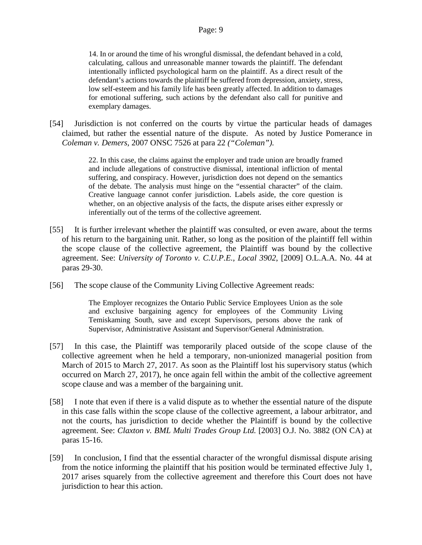14. In or around the time of his wrongful dismissal, the defendant behaved in a cold, calculating, callous and unreasonable manner towards the plaintiff. The defendant intentionally inflicted psychological harm on the plaintiff. As a direct result of the defendant's actions towards the plaintiff he suffered from depression, anxiety, stress, low self-esteem and his family life has been greatly affected. In addition to damages for emotional suffering, such actions by the defendant also call for punitive and exemplary damages.

[54] Jurisdiction is not conferred on the courts by virtue the particular heads of damages claimed, but rather the essential nature of the dispute. As noted by Justice Pomerance in *[Coleman v. Demers,](http://canlii.ca/t/1qtzr)* 2007 ONSC 7526 at para 22 *("Coleman").*

> 22. In this case, the claims against the employer and trade union are broadly framed and include allegations of constructive dismissal, intentional infliction of mental suffering, and conspiracy. However, jurisdiction does not depend on the semantics of the debate. The analysis must hinge on the "essential character" of the claim. Creative language cannot confer jurisdiction. Labels aside, the core question is whether, on an objective analysis of the facts, the dispute arises either expressly or inferentially out of the terms of the collective agreement.

- [55] It is further irrelevant whether the plaintiff was consulted, or even aware, about the terms of his return to the bargaining unit. Rather, so long as the position of the plaintiff fell within the scope clause of the collective agreement, the Plaintiff was bound by the collective agreement. See: *University of Toronto v. C.U.P.E., Local 3902*, [2009] O.L.A.A. No. 44 at paras 29-30.
- [56] The scope clause of the Community Living Collective Agreement reads:

The Employer recognizes the Ontario Public Service Employees Union as the sole and exclusive bargaining agency for employees of the Community Living Temiskaming South, save and except Supervisors, persons above the rank of Supervisor, Administrative Assistant and Supervisor/General Administration.

- [57] In this case, the Plaintiff was temporarily placed outside of the scope clause of the collective agreement when he held a temporary, non-unionized managerial position from March of 2015 to March 27, 2017. As soon as the Plaintiff lost his supervisory status (which occurred on March 27, 2017), he once again fell within the ambit of the collective agreement scope clause and was a member of the bargaining unit.
- [58] I note that even if there is a valid dispute as to whether the essential nature of the dispute in this case falls within the scope clause of the collective agreement, a labour arbitrator, and not the courts, has jurisdiction to decide whether the Plaintiff is bound by the collective agreement. See: *[Claxton v. BML Multi Trades Group Ltd.](https://canlii.ca/t/51nj)* [2003] O.J. No. 3882 (ON CA) at paras 15-16.
- [59] In conclusion, I find that the essential character of the wrongful dismissal dispute arising from the notice informing the plaintiff that his position would be terminated effective July 1, 2017 arises squarely from the collective agreement and therefore this Court does not have jurisdiction to hear this action.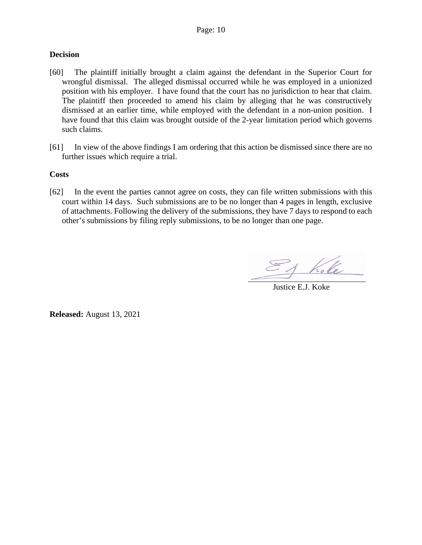#### **Decision**

- [60] The plaintiff initially brought a claim against the defendant in the Superior Court for wrongful dismissal. The alleged dismissal occurred while he was employed in a unionized position with his employer. I have found that the court has no jurisdiction to hear that claim. The plaintiff then proceeded to amend his claim by alleging that he was constructively dismissed at an earlier time, while employed with the defendant in a non-union position. I have found that this claim was brought outside of the 2-year limitation period which governs such claims.
- [61] In view of the above findings I am ordering that this action be dismissed since there are no further issues which require a trial.

#### **Costs**

[62] In the event the parties cannot agree on costs, they can file written submissions with this court within 14 days. Such submissions are to be no longer than 4 pages in length, exclusive of attachments. Following the delivery of the submissions, they have 7 days to respond to each other's submissions by filing reply submissions, to be no longer than one page.

Justice E.J. Koke

**Released:** August 13, 2021